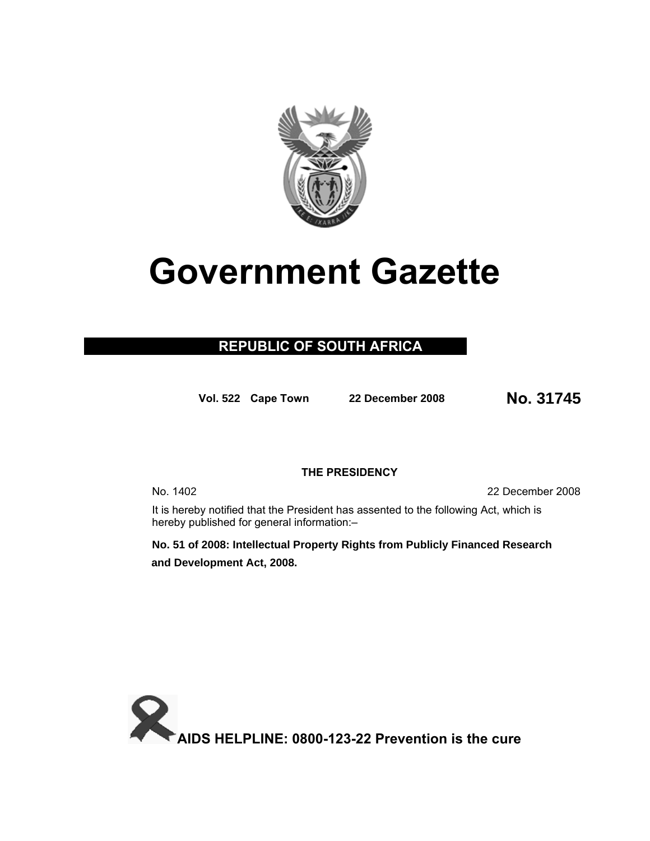

# **Government Gazette**

# **REPUBLIC OF SOUTH AFRICA**

**Vol. 522 Cape Town <sup>22</sup> December 200<sup>8</sup> No. 31745**

### **THE PRESIDENCY**

No. 1402 22 December 2008

It is hereby notified that the President has assented to the following Act, which is hereby published for general information:–

**No. 51 of 2008: Intellectual Property Rights from Publicly Financed Research and Development Act, 2008.**

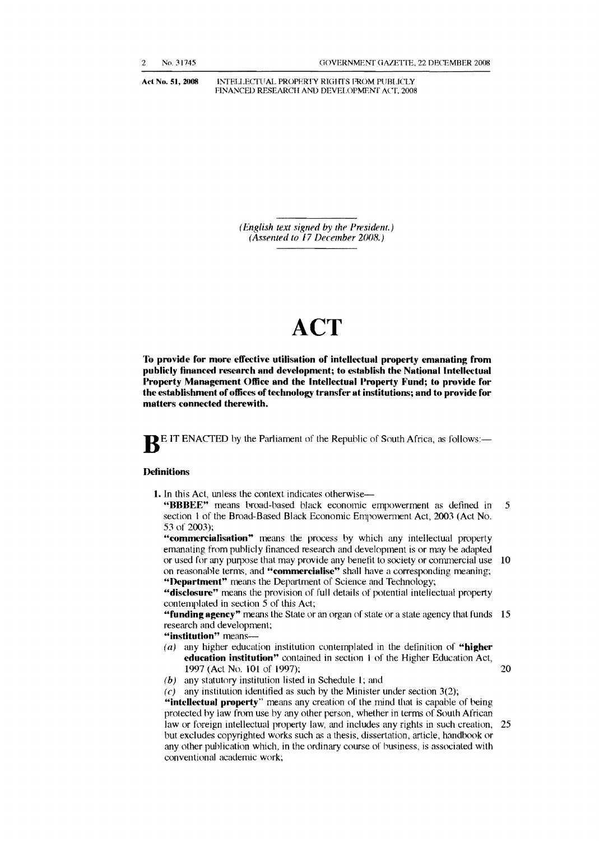Act No. 51, 2008 **INTELLECTUAL PROPERTY RIGHTS FROM PUBLICLY** FINANCED RESEARCH AND DEVELOPMENf ACT, 2008

> *(English text signed* by *the President.) (Assented to 17 December 2008.)*

# **ACT**

**To provide for more effective utilisation of intellectual property emanating from publicly financed research and development; to establish the National Intellectual Property Management Office and the Intellectual Property Fund; to provide for** the establishment of offices of technology transfer at institutions; and to provide for **matters connected therewith.** 

**BEIT ENACTED** by the Parliament of the Republic of South Africa, as follows:-

#### **Definitions**

1. In this Act, unless the context indicates otherwise

**"BBBEE"** means broad-hased black economic empowerment as defined in 5 section 1 of the Broad-Based Black Economic Empowerment Act, 2003 (Act No. 53 of 2003);

**"commercialisation"** means the process by which any intellectual property emanating from publicly financed research and development is or may be adapted or used for any purpose that may provide any benefit to society or commercial use 10 on reasonable terms, and "commercialise" shall have a corresponding meaning; **"Department"** means the Department of Science and Technology;

**"disclosure"** means the provision of full details of potential intellectual property contemplated in section 5 of this Act;

**"funding agency"** means the State or an organ of state or a state agency that funds **15** research and development;

"institution" means--

(a) any higher education institution contemplated in the definition of **"higher education institution"** contained in section I of the Higher Education Act, 1997 (Act No. lOt of (997); 20

 $(b)$  any statutory institution listed in Schedule 1; and

 $(c)$  any institution identified as such by the Minister under section 3(2); **"intellectual property"** means any creation of the mind that is capable of being protected by law from use by any other person, whether in lerm; of South African law or foreign intellectual property law, and includes any rights in such creation, 25 but excludes copyrighted works such as a thesis, dissertation, article, handbook or any other publication which, in the ordinary course of business, is associated with conventional academic work;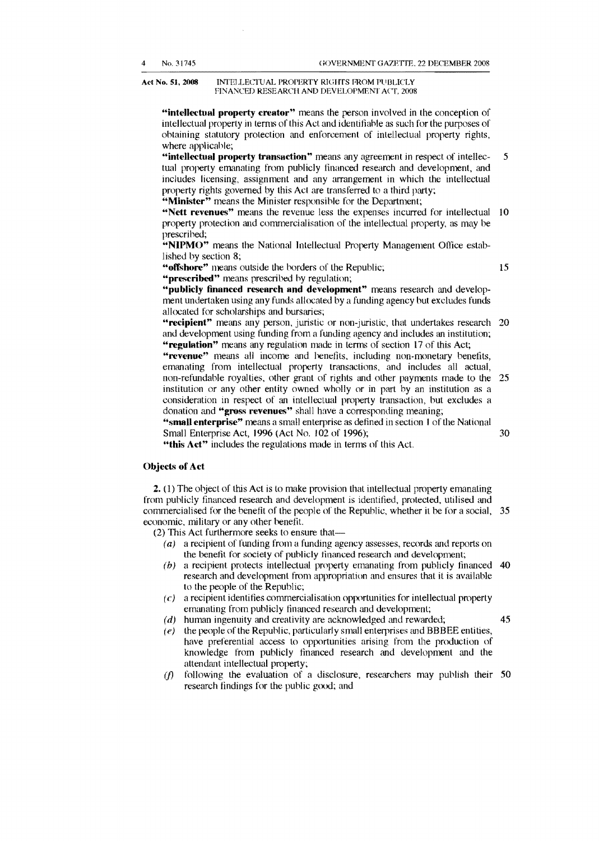#### Act No. 51, 2008 INTELLECTUAL PROPERTY RIGHTS FROM PUBLICLY FINANCED RESEARCH AND DEVELOPMENT ACT, 2008

"intellectual property creator" means the person involved in the conception of intellectual property in terms of this Act and identifiable as such for the purposes of ohtaining statutory protection and enforcement of intellectual property rights. where applicahle;

5 "intellectual property transaction" means any agreement in respect of intellectual property emanating from publicly financed research and development, and includes licensing, assignment and any arrangement in which the intellectual property rights governed by this Act are transferred to a third party; "Minister" means the Minister responsible for the Department;

"Nett revenues" means the revenue less the expenses incurred for intellectual 10 property protection and commercialisation of the intellectual property, as may be prescrihed;

"NIPMO" means the National Intellectual Property Management Office established by section 8;

"offshore" means outside the borders of the Republic;

15

30

"prescribed" means prescribed hy regulation; "publicly financed research and development" means research and development undertaken using any funds allocated by a funding agency but excludes funds

allocated for scholarships and bursaries;

"recipient" means any person, juristic or non-juristic, that undertakes research 20 and development using funding from a funding agency and includes an institution; "regulation" means any regulation made in terms of section 17 of this Act;

non-refundable royalties, other grant of rights and other payments made to the 25 "revenue" means all income and benefits, including non-monetary benefits, emanating from intellectual property transactions, and includes all actual, institution or any other entity owned wholly or in part by an institution as a consideration in respect of an intellectual property transaction, but excludes a donation and "gross revenues" shall have a corresponding meaning;

"small enterprise" means a small enterprise as defined in section 1 of the National Small Enterprise Act, 1996 (Act No. 102 of 1996);

"this Act" includes the regulations made in terms of this Act.

#### **Objects of Act**

35 commercialised for the benefit of the people of the Republic, whether it be for a social, 2. (1) The ohject of this Act is to make provision that intellectual property emanating from puhlicly financed research and development is identified, protected, utilised and economic, military or any other benefit.

(2) This Act furthermore seeks to ensure that

- (a) a recipient of funding from a funding agency assesses, records and reports on the benefit for society of publicly financed research and development;
- $(b)$  a recipient protects intellectual property emanating from publicly financed 40 research and development from appropriation and ensures that it is available to the people of the Republic;
- $(c)$  a recipient identifies commercialisation opportunities for intellectual property emanating from publicly financed research and development;
- $(d)$  human ingenuity and creativity are acknowledged and rewarded;
- $(e)$  the people of the Republic, particularly small enterprises and BBBEE entities, have preferential access to opportunities arising from the production of knowledge from publicly financed research and development and the attendant intellectual property;
- 50 *(j}*  following the evaluation of a disclosure, researchers may publish their research findings for the puhlic good; and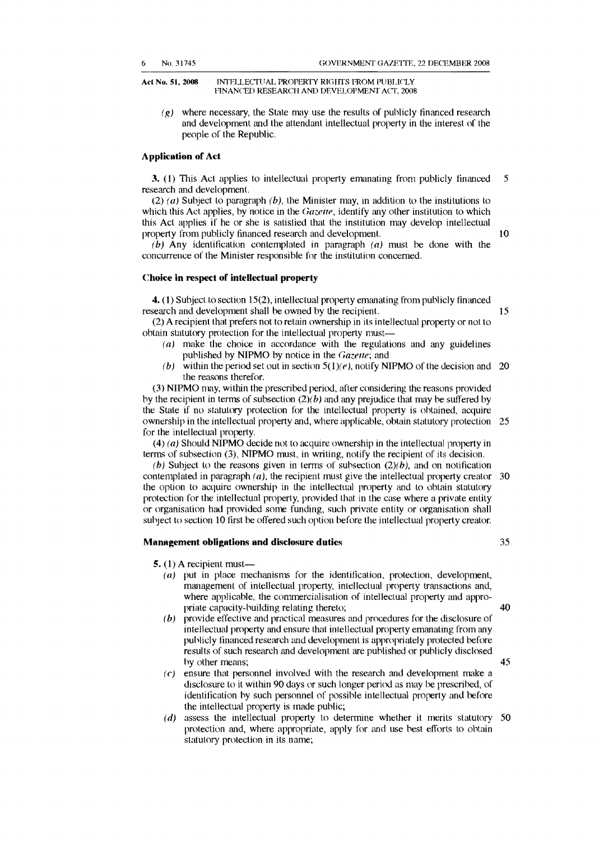Act No. 51, 2008 INTELLECTUAL PROPERTY RIGHTS FROM PUBLICLY FINANCED RESEARCH AND DEVELOPMENT ACT, 2008

 $(g)$  where necessary, the State may use the results of publicly financed research and development and the attendant intellectual property in the interest of the people of the Republic.

#### **Application of Act**

3. (I) This Act applies to intellectual property emanating from publicly financed 5 research and development.

(2) (a) Subject to paragraph  $(b)$ , the Minister may, in addition to the institutions to which this Act applies, by notice in the Gazette, identify any other institution to which this Act applies if he or she is satisfied that the institution may develop intellectual property from publicly financed research and development. 10

(b) Any identification contemplated in paragraph (a) must be done with the concurrence of the Minister responsible for the institution concerned.

#### Choice in respect of intelledual property

4. (1) Subject to section 15(2), intellectual property emanating from publicly financed research and development shall be owned by the recipient. 15

(2) A recipient that prefers not to retain ownership in its intellectual property or not to obtain statutory protection for the intellectual property must

- ( $a$ ) make the choice in accordance with the regulations and any guidelines published by NIPMO by notice in the *Gazette;* and
- (b) within the period set out in section  $5(1)(e)$ , notify NIPMO of the decision and 20 the reasons therefor.

(3) NIPMO may, within the prescribed period, after considering the reasons provided by the recipient in terms of subsection  $(2)(b)$  and any prejudice that may be suffered by the State if no statutory protection for the intellectual property is obtained, acquire ownership in the intellectual property and, where applicable, obtain statutory protection 25 for the intellectual property.

(4) (a) Should NIPMO decide not to acquire ownership in the intellectual property in terms of subsection  $(3)$ , NIPMO must, in writing, notify the recipient of its decision.

(b) Subject to the reasons given in terms of subsection  $(2)(b)$ , and on notification contemplated in paragraph  $(a)$ , the recipient must give the intellectual property creator 30 the option to acquire ownership in the intellectual property and to obtain statutory protection for the intellectual property, provided thal in the case where a private entity or organisation had provided some funding, such private entity or organisation shall suhject to section 10 first be offered such option before the intellectual property creator.

#### Management obligations **and** disclosure duties 35

5. (1) A recipient must

- $(a)$  put in place mechanisms for the identification, protection, development, management of intellectual property, intellectual property transactions and, where applicable, the commercialisation of intellectual property and appropriate capacity-building relating thereto; 40
- (b) provide effective and practical measures and procedures for the disclosure of intellectual property and ensure that intellectual property emanating from any publicly financed research and development is appropriately protected before results of such research and development are puhlished or publicly disclosed hy other means; 45
- $(c)$  ensure that personnel involved with the research and development make a disclosure to it within 90 days or such longer period as may be prescribed, of identification hy such personnel of possible intellectual property and before the intellectual property is made public;
- $(d)$  assess the intellectual property to determine whether it merits statutory 50 protection and, where appropriate, apply for and use hest efforts to obtain statutory protection in its name;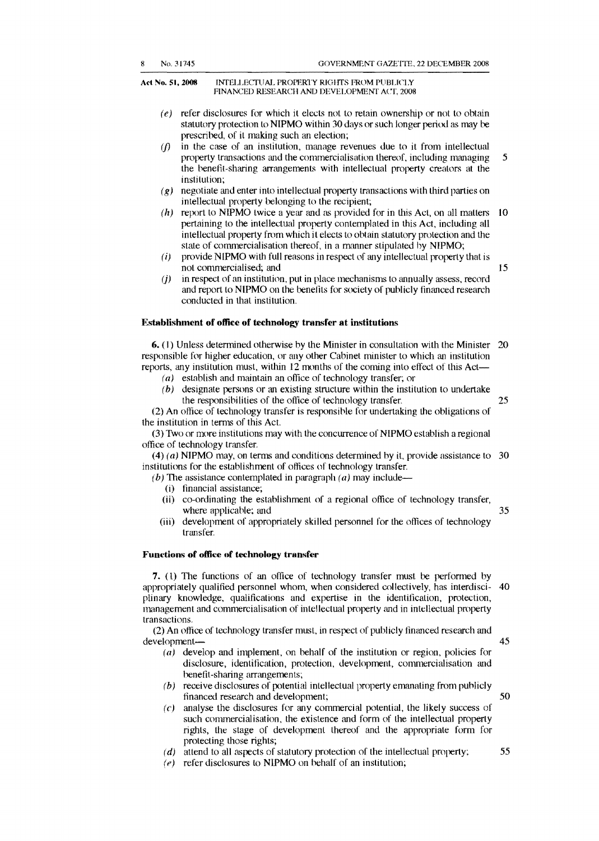#### Act No. 51, 2008 INTELLECTUAL PROPERTY RIGHTS FROM PUBLICLY FINANCED RESEARCH AND DEVELOPMENT ACT, 2008

- $(e)$  refer disclosures for which it elects not to retain ownership or not to obtain statutory protection to NIPMO within 30 days or such longer period as may be prescribed, of it making such an election;
- *(j)*  in the case of an institution, manage revenues due to it from intellectual property transactions and the commercialisation thereof, including managing the benefit-sharing arrangements with intellectual property creators at the institution; 5
- $(g)$  negotiate and enter into intellectual property transactions with third parties on intellectual property belonging to the recipient;
- $(h)$  report to NIPMO twice a year and as provided for in this Act, on all matters 10 pertaining to the intellectual property contemplated in this Act, including all intellectual property from which it elects to obtain statutory protection and the state of commercialisation thereof, in a manner stipulated by NIPMO;
- *(i)*  provide NIPMO with full reasons in respect of any intellectual properly that is not commercialised; and

 $(i)$  in respect of an institution, put in place mechanisms to annually assess, record and report to NIPMO on the benefits for society of publicly financed research conducted in that institution.

#### **Establishment of office of technology transfer at institutions**

**6.** (I) Unless determined otherwise by the Minister in consultation with the Minister 20 responsible for higher education, or any other Cabinet minister to which an institution reports, any institution must, within 12 months of the coming into elfect of this Act

- ( $a$ ) establish and maintain an office of technology transfer; or
- $(b)$  designate persons or an existing structure within the institution to undertake the responsibilities of the office of technology transfer, 25

(2) An office of technology transfer is responsible for undertaking the obligations of the institution in terms of this Act.

(3) Two or more institutions may with the concurrence of NIPMO establish a regional office of technology transfer.

 $(4)$  (a) NIPMO may, on terms and conditions determined by it, provide assistance to 30 institutions for the establishment of offices of technology transfer.

(b) The assistance contemplated in paragraph (a) may include—

- (i) financial assistance;
- (ii) co-ordinating the estahlishment of a regional office of technology transfer, where applicable; and
- (iii) development of appropriately skilled personnel for the offices of technology transfer.

#### Functions of office of technology transfer

**7.** (l) The functions of an office of technology transfer must be performed by appropriately qualified personnel whom, when considered collectively, has interdisciplinary knowledge, qualifications and expertise in the identification, protection, management and commercialisation of intellectual property and in intellectual property transactions. 40

(2) An office of technology transfer must, in respect of publicly financed research and development

- $(a)$  develop and implement, on behalf of the institution or region, policies for disclosure, identification, protection, development, commercialisation and benefit-sharing arrangements;
- $(b)$  receive disclosures of potential intellectual property emanating from publicly financed research and development;
- $(c)$  analyse the disclosures for any commercial potential, the likely success of such commercialisation, the existence and form of the intellectual property rights, the stage of development thereof and the appropriate form for protecting those rights;
- $(d)$  attend to all aspects of statutory protection of the intellectual property;
- $(e)$  refer disclosures to NIPMO on behalf of an institution;

45

50

55

35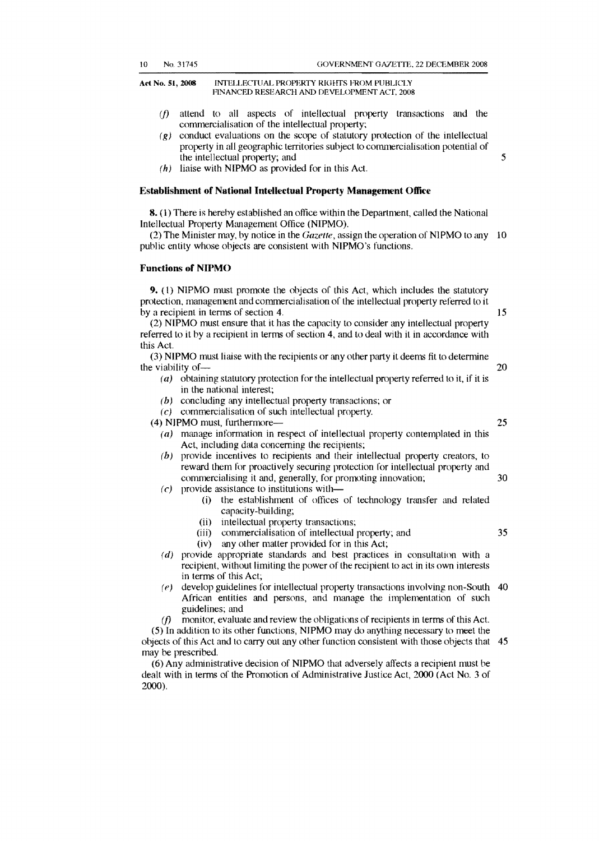Act No. 51, 2008 INTELLECTUAL PROPERTY RIGHTS FROM PUBLICLY HNANCED RESEARCH AND DEVELOPMENT ACT. 2008

- *Cf)*  attend to all aspects of intellectual property transactions and the commercialisation of the intellectual property;
- $(g)$  conduct evaluations on the scope of statutory protection of the intellectual property in all geographic territories subject to commercialisation potential of the intellectual property; and
- $(h)$  liaise with NIPMO as provided for in this Act.

#### **Establishment of National Intellectual Property Management Office**

8. (1) There is hereby established an office within the Department, called the National Intellectual Property Management Office (NIPMO).

(2) The Minister may, by notice in the *Gazette*, assign the operation of NIPMO to any 10 public entity whose objects are consistent with NIPMO's functions.

#### Functions of NIPMO

9. (1) NIPMO must promote the objects of this Act, which includes the statutory protection, management and commercialisation of the intellectual property referred to it by a recipient in terms of section 4.

 $(2)$  NIPMO must ensure that it has the capacity to consider any intellectual property referred to it by a recipient in terms of section 4, and to deal with it in accordance with this Act.

(3) NIPMO must liaise with the recipients or any other party it deems fit to detennine the viability of

- (a) obtaining statutory protection for the intellectual property referred to it, if it is in the national interest;
- $(b)$  concluding any intellectual property transactions; or
- $(c)$  commercialisation of such intellectual property.

(4) N)PMO must, furthermore

 $(a)$  manage information in respect of intellectual property contemplated in this Act, including data concerning the recipients;

- 30  $(b)$  provide incentives to recipients and their intellectual property creators, to reward them for proactively securing protection for intellectual property and commercialising it and, generally, for promoting innovation;
- $(c)$  provide assistance to institutions with-
	- (i) the establishment of offices of technology transfer and related capacity-building;
	- (ii) intellectual property transactions;<br>(iii) commercialisation of intellectual
	- commercialisation of intellectual property; and
	- $(iv)$  any other matter provided for in this Act;
- $(d)$  provide appropriate standards and best practices in consultation with a recipient, without limiting the power of the recipient to act in its own interests in terms of this Act;
- $(e)$  develop guidelines for intellectual property transactions involving non-South 40 African entities and persons, and manage the implementation of such guidelines; and

*(j)*  monitor, evaluate and review the obligations of recipients in terms of this Act.

objects of this Act and to carry out any other function consistent with those objects that 45 (5) In addition to its other functions, NJPMO may do anything necessary to meet the may be prescribed.

(6) Any administrative decision of NJPMO that adversely affects a recipient must be dealt with in terms of the Promotion of Administrative Justice Act, 2000 (Act No.3 of 2000).

15

20

25

35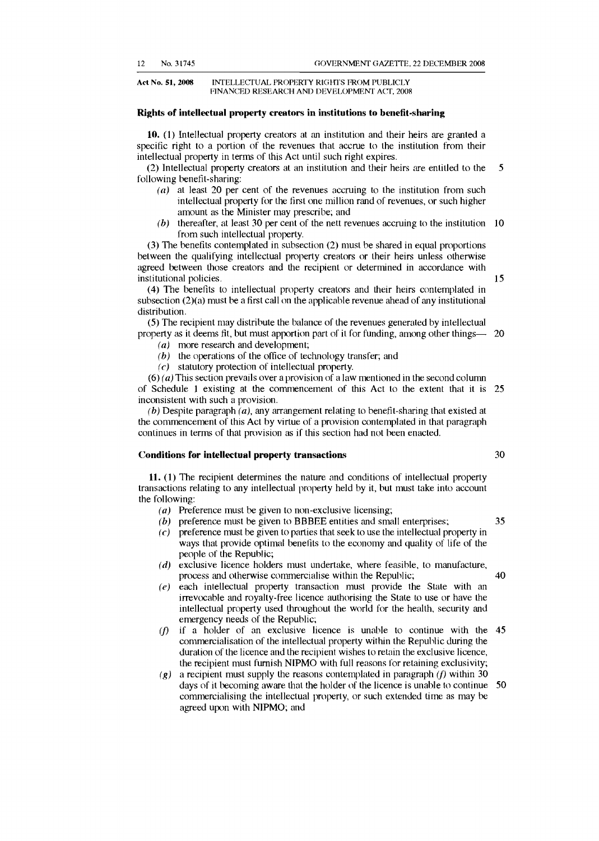Act No. 51, 2008 INTELLECTUAL PROPERTY RIGHTS FROM PUBLICLY FINANCED RESEARCH AND DEVELOPMENT ACf, 2008

#### **Rights of intellectual property creators in institutions to benefit-sharing**

10. (1) Intellectual property creators at an institution and their heirs are granted a specific right to a portion of the revenues that accrue to the institution from their intellectual property in terms of this Act until such right expires.

(2) Intellectual property creators at an institution and their heirs are entitled to the 5 following benefit-sharing:

- (a) at least 20 per cent of the revenues accruing to the institution from such intellectual property for the first one million rand of revenues, or such higher amount as the Minister may prescribe; and
- (b) thereafter, at least 30 per cent of the nett revenues accruing to the institution  $10$ from such intellectual property.

(3) The benefits contemplated in subsection (2) must be shared in equal proportions between the qualifying intellectual property creators or their heirs unless otherwise agreed between those creators and the recipient or determined in accordance with institutional policies. 15

(4) The benefits to intellectual property creators and their heirs contemplated in subsection  $(2)(a)$  must be a first call on the applicable revenue ahead of any institutional distribution.

(5) The recipient may distribute the balance of the revenues generated by intellectual property as it deems fit, but must apportion part of it for funding, among other things- 20

- $(a)$  more research and development;
- $(b)$  the operations of the office of technology transfer; and
- $(c)$  statutory protection of intellectual property.

 $(6)$  (a) This section prevails over a provision of a law mentioned in the second column of Schedule 1 existing at the commencement of this Act to the extent that it is 25 inconsistent with such a provision.

(b) Despite paragraph  $(a)$ , any arrangement relating to benefit-sharing that existed at the commencement of this Act by virtue of a provision contemplated in that paragraph continues in terms of that provision as if this section had not been enacted.

#### **Conditions for intellectual property transactions 30 30**

**11.** (1) The recipient determines the nature and conditions of intellectual property transactions relating to any intellectual property held by it, but must take into account the following:

- ( $a$ ) Preference must be given to non-exclusive licensing;
- (b) preference must be given to BBBEE entities and small enterprises;  $35$
- (c) preference must be given to parties that seek to use the intellectual property in ways that provide optimal benefits to the economy and quality of life of the people of the Republic;
- $(d)$  exclusive licence holders must undertake, where feasible, to manufacture, process and otherwise commercialise within the Republic; 40
- $(e)$  each intellectual property transaction must provide the State with an irrevocable and royalty-free licence authorising the State to use or have the intellectual property used throughout the world for the health, security and emergency needs of the Republic;
- $(f)$  if a holder of an exclusive licence is unable to continue with the  $45$ commercialisation of the intellectual property within the Repuhlic during the duration of the licence and the recipient wishes to retain the exclusive licence, the recipient must furnish NIPMO with full reasons for retaining exclusivity;
- (g) a recipient must supply the reasons contemplated in paragraph (f) within 30 days of it becoming aware that the holder of the licence is unable to continue 50 commercialising the intellectual property, or such extended time as may be agreed upon with NIPMO; and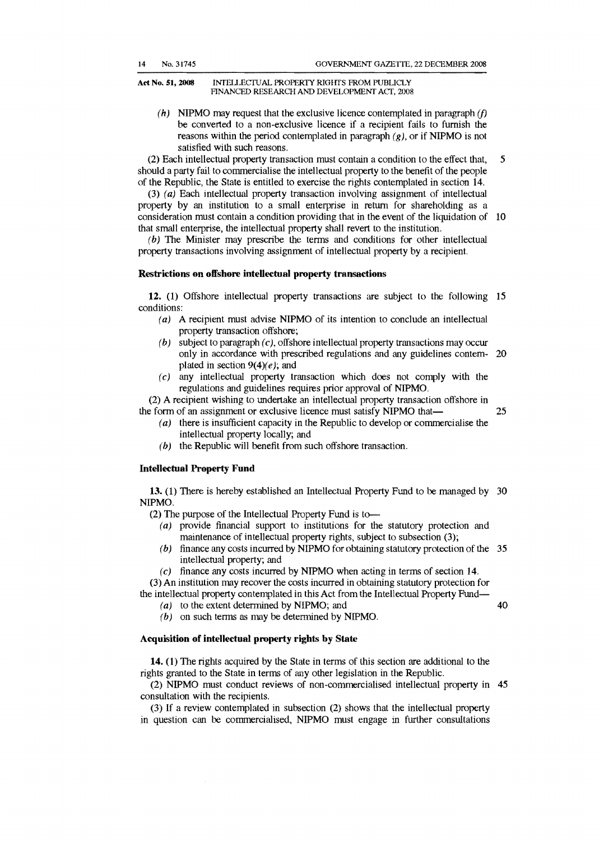#### Act No. 51, 2008 INTELLECTUAL PROPERTY RIGHTS FROM PUBLICLY FINANCED RESEARCH AND DEVELOPMENT ACf. 2008

(h) NIPMO may request that the exclusive licence contemplated in paragraph  $(f)$ be converted to a non-exclusive licence if a recipient fails to furnish the reasons within the period contemplated in paragraph  $(g)$ , or if NIPMO is not satisfied with such reasons.

5 (2) Each intellectual property transaction must contain a condition to the effect that, should a party fail to commercialise the intellectual property to the benefit of the people of the Republic, the State is entitled to exercise the rights contemplated in section 14.

consideration must contain a condition providing that in the event of the liquidation of 10 (3) (a) Each intellectual property transaction involving assignment of intellectual property by an institution to a small enterprise in return for shareholding as a that small enterprise, the intellectual property shall revert to the institution.

(b) The Minister may prescribe the terms and conditions for other intellectual property transactions involving assignment of intellectual property by a recipient.

#### Restrictions on offshore intellectual property transactions

12. (1) Offshore intellectual property transactions are subject to the following 15 conditions:

- ( $a$ ) A recipient must advise NIPMO of its intention to conclude an intellectual property transaction offshore;
- 20 only in accordance with prescribed regulations and any guidelines contem-(b) subject to paragraph  $(c)$ , offshore intellectual property transactions may occur plated in section  $9(4)(e)$ ; and
- $(c)$  any intellectual property transaction which does not comply with the regulations and guidelines requires prior approval of NIPMO.

(2) A recipient wishing to undertake an intellectual property transaction offshore in the form of an assignment or exclusive licence must satisfy NIPMO that

- 25
- (a) there is insufficient capacity in the Republic to develop or commercialise the intellectual property locally; and
- $(b)$  the Republic will benefit from such offshore transaction.

#### Intellectual Property Fund

13. (1) There is hereby established an Intellectual Property Fund to be managed by 30 NIPMO.

(2) The purpose of the Intellectual Property Fund is to-

- $(a)$  provide financial support to institutions for the statutory protection and maintenance of intellectual property rights, subject to subsection (3);
- (b) finance any costs incurred by NIPMO for obtaining statutory protection of the  $35$ intellectual property; and
- $(c)$  finance any costs incurred by NIPMO when acting in terms of section 14.

(3) An institution may recover the costs incurred in obtaining statutory protection for the intellectual property contemplated in this Act from the Intellectual Property Fund

 $(a)$  to the extent determined by NIPMO; and  $(b)$  on such terms as may be determined by NIPMO. 40

## Acquisition of intellectual property rights by State

14. (1) The rights acquired by the State in terms of this section are additional to the rights granted to the State in terms of any other legislation in the Republic.

45 (2) NIPMO must conduct reviews of non-commercialised intellectual property in consultation with the recipients.

(3) If a review contemplated in subsection (2) shows that the intellectual property in question can be commercialised, NIPMO must engage in further consultations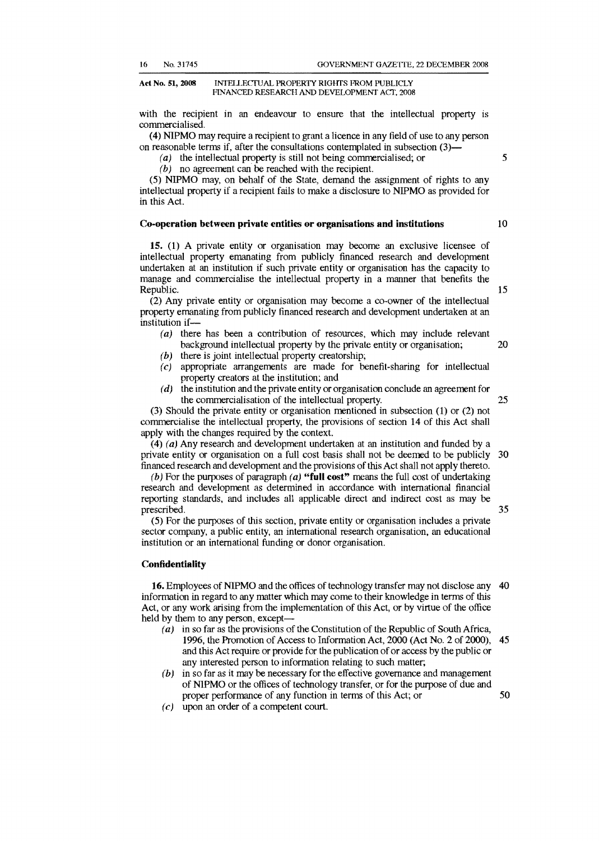#### Act No. 51, 2008 INTELLECfUAL PROPERTY RIGHTS FROM PUBLICLY HNANCED RESEARCH AND DEVELOPMENT ACT, 2008

with the recipient in an endeavour to ensure that the intellectual property is commercialised.

(4) NIPMO may require a recipient to grant a licence in any field of use to any person on reasonable terms if, after the consultations contemplated in subsection (3)

 $(a)$  the intellectual property is still not being commercialised; or

 $(b)$  no agreement can be reached with the recipient.

(5) NIPMO may, on behalf of the State, demand the assignment of rights to any intellectual property if a recipient fails to make a disclosure to NIPMO as provided for in this Act.

#### Co-operation between private entities or organisations and institutions

10

15

25

5

15. (1) A private entity or organisation may become an exclusive licensee of intellectual property emanating from publicly financed research and development undertaken at an institution if such private entity or organisation has the capacity to manage and commercialise the intellectual property in a manner that benefits the Republic.

(2) Any private entity or organisation may become a co-owner of the intellectual property emanating from publicly financed research and development undertaken at an institution if-<br> $(a)$  then

- 20 there has been a contribution of resources, which may include relevant background intellectual property by the private entity or organisation;
- $(b)$  there is joint intellectual property creatorship;
- $(c)$  appropriate arrangements are made for benefit-sharing for intellectual property creators at the institution; and
- $(d)$  the institution and the private entity or organisation conclude an agreement for the commercialisation of the intellectual property.

(3) Should the private entity or organisation mentioned in subsection (1) or (2) not commercialise the intellectual property, the provisions of section 14 of this Act shall apply with the changes required by the context.

30 (4) (a) Any research and development undertaken at an institution and funded by a private entity or organisation on a full cost basis shall not be deemed to be publicly financed research and development and the provisions of this Act shall not apply thereto.

(b) For the purposes of paragraph  $(a)$  "full cost" means the full cost of undertaking research and development as determined in accordance with international financial reporting standards, and includes all applicable direct and indirect cost as may be prescribed.

(5) For the purposes of this section, private entity or organisation includes a private sector company, a public entity, an international research organisation, an educational institution or an international funding or donor organisation.

#### **Confidentiality**

40 16. Employees of NIPMO and the offices of technology transfer may not disclose any information in regard to any matter which may come to their knowledge in terms of this Act, or any work arising from the implementation of this Act, or by virtue of the office held by them to any person, except

- 45 ( $a$ ) in so far as the provisions of the Constitution of the Republic of South Africa, 1996, the Promotion of Access to Information Act, 2000 (Act No.2 of 2000), and this Act require or provide for the publication of or access by the public or any interested person to information relating to such matter;
- $(b)$  in so far as it may be necessary for the effective governance and management of NIPMO or the offices of technology transfer, or for the purpose of due and proper performance of any function in terms of this Act; or
- $(c)$  upon an order of a competent court.

35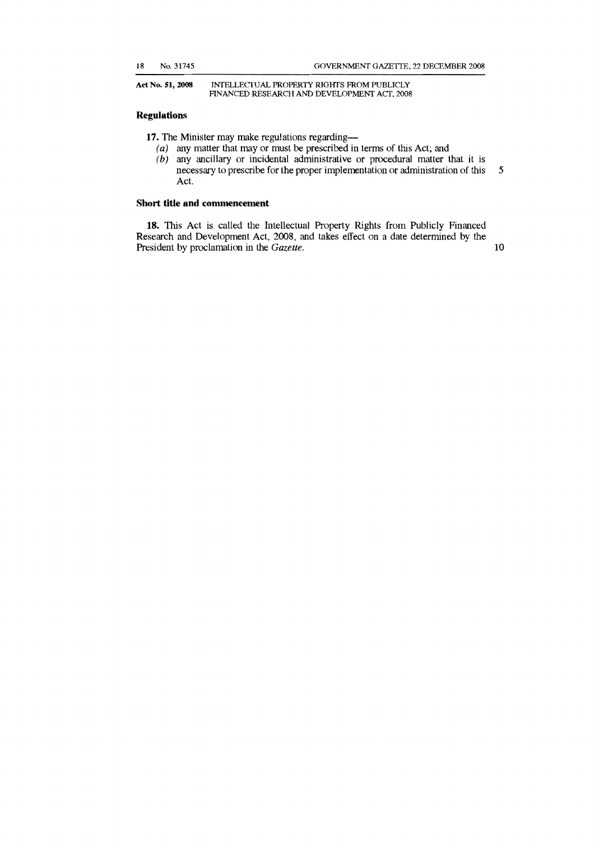#### Act No. 51, 2008 INTELLECTUAL PROPERTY RIGHTS FROM PUBLICLY FINANCED RESEARCH AND DEVELOPMENT ACT. 200S

#### **Regulation..**

- 17. The Minister may make regulations regarding-
	- ( $a$ ) any matter that may or must be prescribed in terms of this Act; and
	- $(b)$  any ancillary or incidental administrative or procedural matter that it is necessary to prescribe for the proper implementation or administration of this 5 Act.

#### **Short title and commencement**

**18.** This Act is called the Intellectual Property Rights from Publicly Financed Research and Development Act, 2008, and takes effect on a date determined by the President by proclamation in the *Gazette*. 10